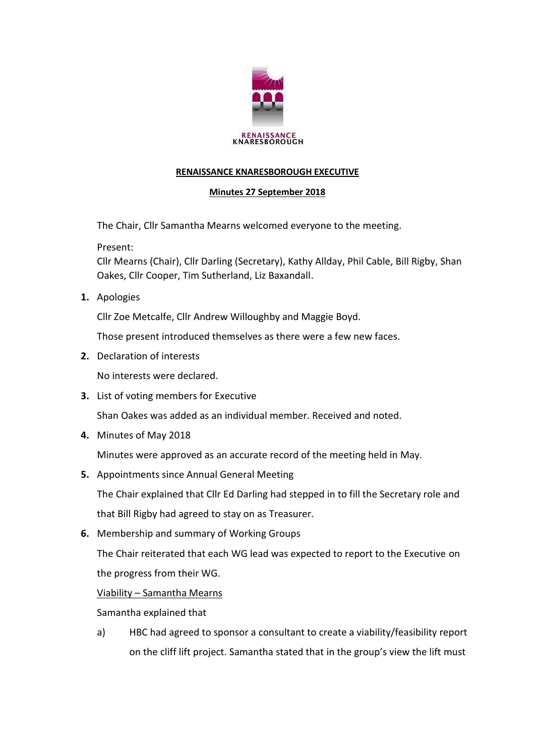

# **RENAISSANCE KNARESBOROUGH EXECUTIVE**

## **Minutes 27 September 2018**

The Chair, Cllr Samantha Mearns welcomed everyone to the meeting.

Present:

Cllr Mearns (Chair), Cllr Darling (Secretary), Kathy Allday, Phil Cable, Bill Rigby, Shan Oakes, Cllr Cooper, Tim Sutherland, Liz Baxandall.

**1.** Apologies

Cllr Zoe Metcalfe, Cllr Andrew Willoughby and Maggie Boyd.

Those present introduced themselves as there were a few new faces.

**2.** Declaration of interests

No interests were declared.

**3.** List of voting members for Executive

Shan Oakes was added as an individual member. Received and noted.

**4.** Minutes of May 2018

Minutes were approved as an accurate record of the meeting held in May.

**5.** Appointments since Annual General Meeting

The Chair explained that Cllr Ed Darling had stepped in to fill the Secretary role and that Bill Rigby had agreed to stay on as Treasurer.

**6.** Membership and summary of Working Groups

The Chair reiterated that each WG lead was expected to report to the Executive on the progress from their WG.

# Viability – Samantha Mearns

Samantha explained that

a) HBC had agreed to sponsor a consultant to create a viability/feasibility report on the cliff lift project. Samantha stated that in the group's view the lift must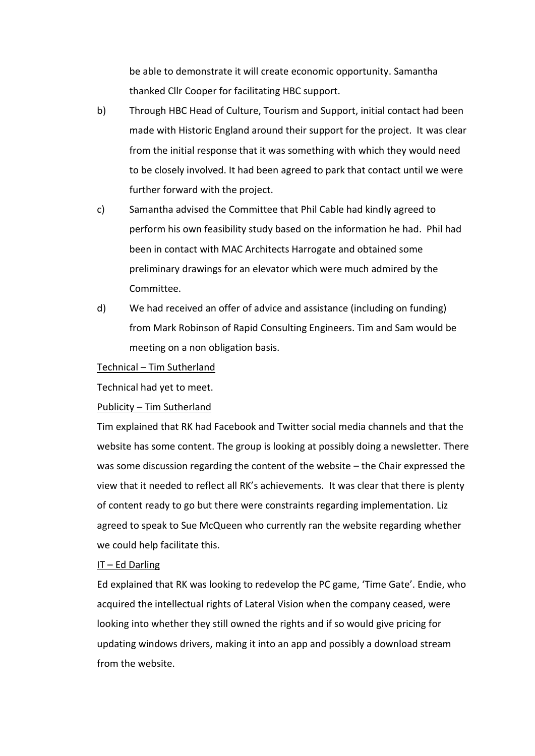be able to demonstrate it will create economic opportunity. Samantha thanked Cllr Cooper for facilitating HBC support.

- b) Through HBC Head of Culture, Tourism and Support, initial contact had been made with Historic England around their support for the project. It was clear from the initial response that it was something with which they would need to be closely involved. It had been agreed to park that contact until we were further forward with the project.
- c) Samantha advised the Committee that Phil Cable had kindly agreed to perform his own feasibility study based on the information he had. Phil had been in contact with MAC Architects Harrogate and obtained some preliminary drawings for an elevator which were much admired by the Committee.
- d) We had received an offer of advice and assistance (including on funding) from Mark Robinson of Rapid Consulting Engineers. Tim and Sam would be meeting on a non obligation basis.

### Technical – Tim Sutherland

Technical had yet to meet.

## Publicity – Tim Sutherland

Tim explained that RK had Facebook and Twitter social media channels and that the website has some content. The group is looking at possibly doing a newsletter. There was some discussion regarding the content of the website – the Chair expressed the view that it needed to reflect all RK's achievements. It was clear that there is plenty of content ready to go but there were constraints regarding implementation. Liz agreed to speak to Sue McQueen who currently ran the website regarding whether we could help facilitate this.

### IT – Ed Darling

Ed explained that RK was looking to redevelop the PC game, 'Time Gate'. Endie, who acquired the intellectual rights of Lateral Vision when the company ceased, were looking into whether they still owned the rights and if so would give pricing for updating windows drivers, making it into an app and possibly a download stream from the website.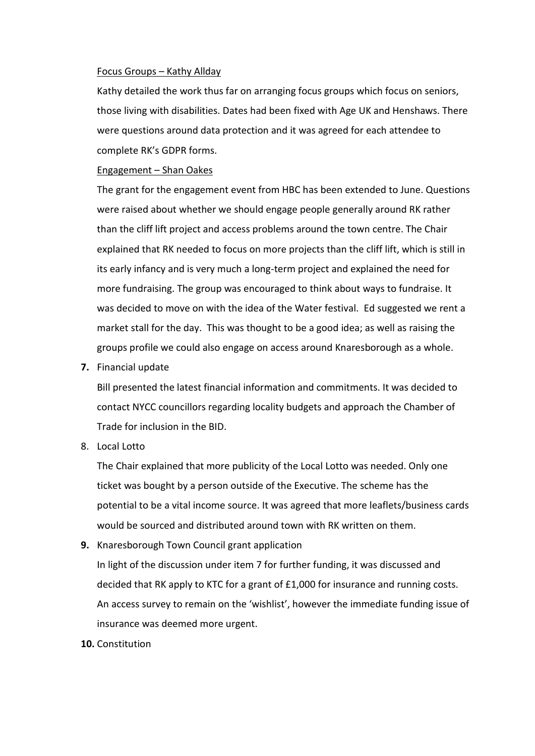### Focus Groups – Kathy Allday

Kathy detailed the work thus far on arranging focus groups which focus on seniors, those living with disabilities. Dates had been fixed with Age UK and Henshaws. There were questions around data protection and it was agreed for each attendee to complete RK's GDPR forms.

### Engagement – Shan Oakes

The grant for the engagement event from HBC has been extended to June. Questions were raised about whether we should engage people generally around RK rather than the cliff lift project and access problems around the town centre. The Chair explained that RK needed to focus on more projects than the cliff lift, which is still in its early infancy and is very much a long-term project and explained the need for more fundraising. The group was encouraged to think about ways to fundraise. It was decided to move on with the idea of the Water festival. Ed suggested we rent a market stall for the day. This was thought to be a good idea; as well as raising the groups profile we could also engage on access around Knaresborough as a whole.

**7.** Financial update

Bill presented the latest financial information and commitments. It was decided to contact NYCC councillors regarding locality budgets and approach the Chamber of Trade for inclusion in the BID.

8. Local Lotto

The Chair explained that more publicity of the Local Lotto was needed. Only one ticket was bought by a person outside of the Executive. The scheme has the potential to be a vital income source. It was agreed that more leaflets/business cards would be sourced and distributed around town with RK written on them.

**9.** Knaresborough Town Council grant application

In light of the discussion under item 7 for further funding, it was discussed and decided that RK apply to KTC for a grant of £1,000 for insurance and running costs. An access survey to remain on the 'wishlist', however the immediate funding issue of insurance was deemed more urgent.

#### **10.** Constitution